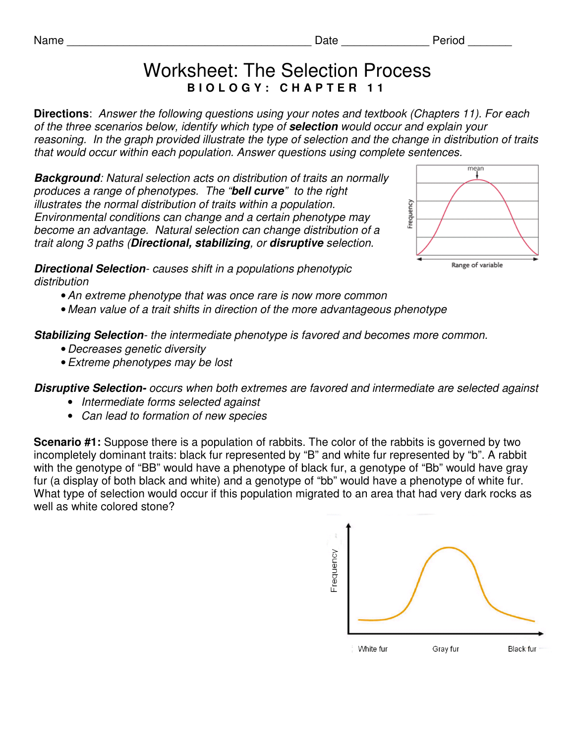## Worksheet: The Selection Process **B I O L O G Y : C H A P T E R 1 1**

**Directions**: Answer the following questions using your notes and textbook (Chapters 11). For each of the three scenarios below, identify which type of **selection** would occur and explain your reasoning. In the graph provided illustrate the type of selection and the change in distribution of traits that would occur within each population. Answer questions using complete sentences.

**Background**: Natural selection acts on distribution of traits an normally produces a range of phenotypes. The "**bell curve**" to the right illustrates the normal distribution of traits within a population. Environmental conditions can change and a certain phenotype may become an advantage. Natural selection can change distribution of a trait along 3 paths (**Directional, stabilizing**, or **disruptive** selection.



**Directional Selection**- causes shift in a populations phenotypic distribution

• An extreme phenotype that was once rare is now more common

• Mean value of a trait shifts in direction of the more advantageous phenotype

**Stabilizing Selection**- the intermediate phenotype is favored and becomes more common.

- •Decreases genetic diversity
- Extreme phenotypes may be lost

**Disruptive Selection-** occurs when both extremes are favored and intermediate are selected against

- Intermediate forms selected against
- Can lead to formation of new species

**Scenario #1:** Suppose there is a population of rabbits. The color of the rabbits is governed by two incompletely dominant traits: black fur represented by "B" and white fur represented by "b". A rabbit with the genotype of "BB" would have a phenotype of black fur, a genotype of "Bb" would have gray fur (a display of both black and white) and a genotype of "bb" would have a phenotype of white fur. What type of selection would occur if this population migrated to an area that had very dark rocks as well as white colored stone?